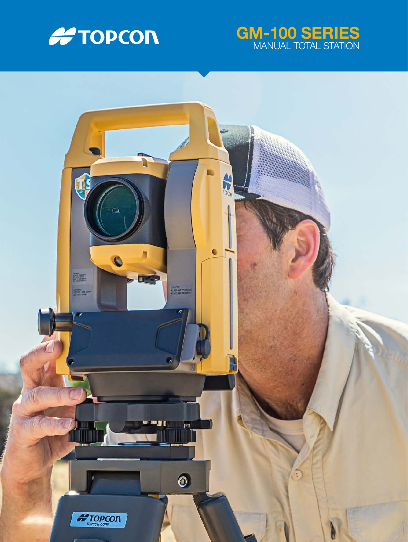

# GM-100 SERIES MANUAL TOTAL STATION

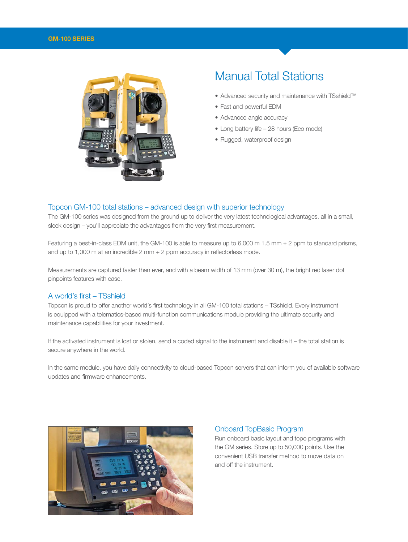

# Manual Total Stations

- Advanced security and maintenance with TSshield™
- Fast and powerful EDM
- Advanced angle accuracy
- Long battery life 28 hours (Eco mode)
- Rugged, waterproof design

#### Topcon GM-100 total stations – advanced design with superior technology

The GM-100 series was designed from the ground up to deliver the very latest technological advantages, all in a small, sleek design – you'll appreciate the advantages from the very first measurement.

Featuring a best-in-class EDM unit, the GM-100 is able to measure up to 6,000 m 1.5 mm + 2 ppm to standard prisms, and up to 1,000 m at an incredible 2 mm + 2 ppm accuracy in reflectorless mode.

Measurements are captured faster than ever, and with a beam width of 13 mm (over 30 m), the bright red laser dot pinpoints features with ease.

### A world's first – TSshield

Topcon is proud to offer another world's first technology in all GM-100 total stations – TSshield. Every instrument is equipped with a telematics-based multi-function communications module providing the ultimate security and maintenance capabilities for your investment.

If the activated instrument is lost or stolen, send a coded signal to the instrument and disable it – the total station is secure anywhere in the world.

In the same module, you have daily connectivity to cloud-based Topcon servers that can inform you of available software updates and firmware enhancements.



#### Onboard TopBasic Program

Run onboard basic layout and topo programs with the GM series. Store up to 50,000 points. Use the convenient USB transfer method to move data on and off the instrument.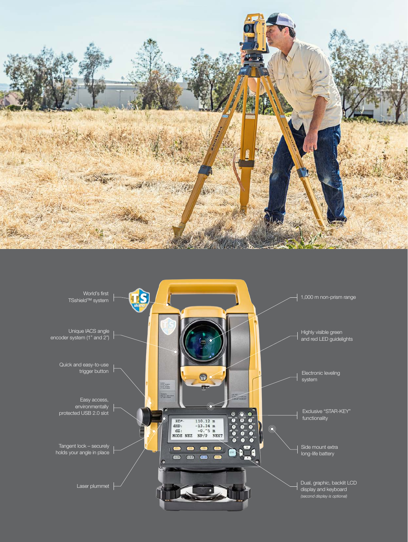